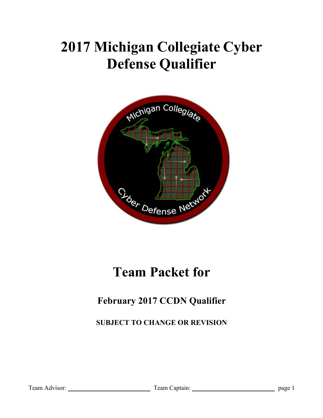# **2017 Michigan Collegiate Cyber Defense Qualifier**



# **Team Packet for**

### **February 2017 CCDN Qualifier**

**SUBJECT TO CHANGE OR REVISION**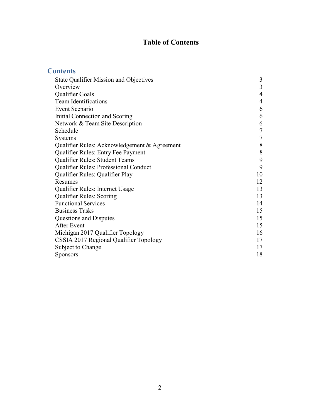### **Table of Contents**

| <b>Contents</b>                               |                |
|-----------------------------------------------|----------------|
| <b>State Qualifier Mission and Objectives</b> | 3              |
| Overview                                      | 3              |
| Qualifier Goals                               | $\overline{4}$ |
| <b>Team Identifications</b>                   | 4              |
| Event Scenario                                | 6              |
| Initial Connection and Scoring                | 6              |
| Network & Team Site Description               | 6              |
| Schedule                                      | $\overline{7}$ |
| <b>Systems</b>                                | 7              |
| Qualifier Rules: Acknowledgement & Agreement  | 8              |
| Qualifier Rules: Entry Fee Payment            | $8\,$          |
| Qualifier Rules: Student Teams                | 9              |
| Qualifier Rules: Professional Conduct         | 9              |
| Qualifier Rules: Qualifier Play               | 10             |
| Resumes                                       | 12             |
| Qualifier Rules: Internet Usage               | 13             |
| <b>Qualifier Rules: Scoring</b>               | 13             |
| <b>Functional Services</b>                    | 14             |
| <b>Business Tasks</b>                         | 15             |
| Questions and Disputes                        | 15             |
| After Event                                   | 15             |
| Michigan 2017 Qualifier Topology              | 16             |
| CSSIA 2017 Regional Qualifier Topology        | 17             |
| Subject to Change                             | 17             |
| Sponsors                                      | 18             |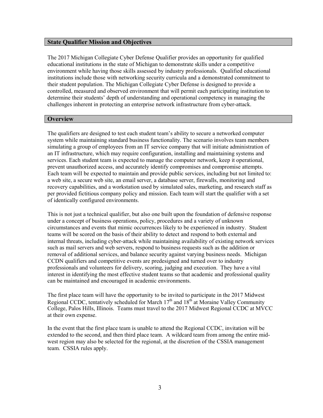#### **State Qualifier Mission and Objectives**

The 2017 Michigan Collegiate Cyber Defense Qualifier provides an opportunity for qualified educational institutions in the state of Michigan to demonstrate skills under a competitive environment while having those skills assessed by industry professionals. Qualified educational institutions include those with networking security curricula and a demonstrated commitment to their student population. The Michigan Collegiate Cyber Defense is designed to provide a controlled, measured and observed environment that will permit each participating institution to determine their students' depth of understanding and operational competency in managing the challenges inherent in protecting an enterprise network infrastructure from cyber-attack.

#### **Overview**

The qualifiers are designed to test each student team's ability to secure a networked computer system while maintaining standard business functionality. The scenario involves team members simulating a group of employees from an IT service company that will initiate administration of an IT infrastructure, which may require configuration, installing and maintaining systems and services. Each student team is expected to manage the computer network, keep it operational, prevent unauthorized access, and accurately identify compromises and compromise attempts. Each team will be expected to maintain and provide public services, including but not limited to: a web site, a secure web site, an email server, a database server, firewalls, monitoring and recovery capabilities, and a workstation used by simulated sales, marketing, and research staff as per provided fictitious company policy and mission. Each team will start the qualifier with a set of identically configured environments.

This is not just a technical qualifier, but also one built upon the foundation of defensive response under a concept of business operations, policy, procedures and a variety of unknown circumstances and events that mimic occurrences likely to be experienced in industry. Student teams will be scored on the basis of their ability to detect and respond to both external and internal threats, including cyber-attack while maintaining availability of existing network services such as mail servers and web servers, respond to business requests such as the addition or removal of additional services, and balance security against varying business needs. Michigan CCDN qualifiers and competitive events are predesigned and turned over to industry professionals and volunteers for delivery, scoring, judging and execution. They have a vital interest in identifying the most effective student teams so that academic and professional quality can be maintained and encouraged in academic environments.

The first place team will have the opportunity to be invited to participate in the 2017 Midwest Regional CCDC, tentatively scheduled for March  $17<sup>th</sup>$  and  $18<sup>th</sup>$  at Moraine Valley Community College, Palos Hills, Illinois. Teams must travel to the 2017 Midwest Regional CCDC at MVCC at their own expense.

In the event that the first place team is unable to attend the Regional CCDC, invitation will be extended to the second, and then third place team. A wildcard team from among the entire midwest region may also be selected for the regional, at the discretion of the CSSIA management team. CSSIA rules apply.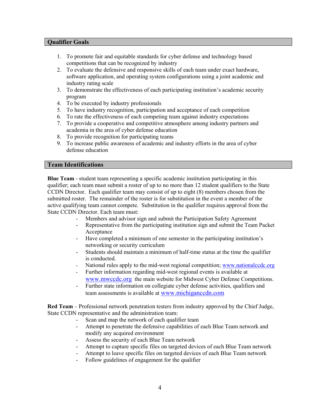#### **Qualifier Goals**

- 1. To promote fair and equitable standards for cyber defense and technology based competitions that can be recognized by industry
- 2. To evaluate the defensive and responsive skills of each team under exact hardware, software application, and operating system configurations using a joint academic and industry rating scale
- 3. To demonstrate the effectiveness of each participating institution's academic security program
- 4. To be executed by industry professionals
- 5. To have industry recognition, participation and acceptance of each competition
- 6. To rate the effectiveness of each competing team against industry expectations
- 7. To provide a cooperative and competitive atmosphere among industry partners and academia in the area of cyber defense education
- 8. To provide recognition for participating teams
- 9. To increase public awareness of academic and industry efforts in the area of cyber defense education

#### **Team Identifications**

**Blue Team** - student team representing a specific academic institution participating in this qualifier; each team must submit a roster of up to no more than 12 student qualifiers to the State CCDN Director. Each qualifier team may consist of up to eight (8) members chosen from the submitted roster. The remainder of the roster is for substitution in the event a member of the active qualifying team cannot compete. Substitution in the qualifier requires approval from the State CCDN Director. Each team must:

- Members and advisor sign and submit the Participation Safety Agreement
- Representative from the participating institution sign and submit the Team Packet Acceptance
- Have completed a minimum of one semester in the participating institution's networking or security curriculum
- Students should maintain a minimum of half-time status at the time the qualifier is conducted.
- National rules apply to the mid-west regional competition; www.nationalccdc.org
- Further information regarding mid-west regional events is available at www.mwccdc.org the main website for Midwest Cyber Defense Competitions.
- Further state information on collegiate cyber defense activities, qualifiers and team assessments is available at www.michiganccdn.com

**Red Team** – Professional network penetration testers from industry approved by the Chief Judge, State CCDN representative and the administration team:

- Scan and map the network of each qualifier team
- Attempt to penetrate the defensive capabilities of each Blue Team network and modify any acquired environment
- Assess the security of each Blue Team network
- Attempt to capture specific files on targeted devices of each Blue Team network
- Attempt to leave specific files on targeted devices of each Blue Team network
- Follow guidelines of engagement for the qualifier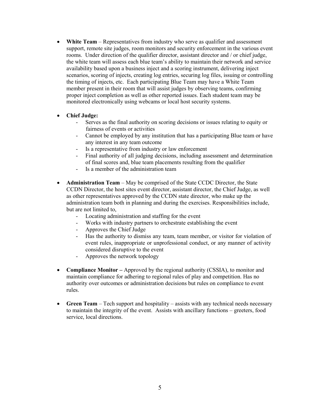- **White Team**  Representatives from industry who serve as qualifier and assessment support, remote site judges, room monitors and security enforcement in the various event rooms. Under direction of the qualifier director, assistant director and / or chief judge, the white team will assess each blue team's ability to maintain their network and service availability based upon a business inject and a scoring instrument, delivering inject scenarios, scoring of injects, creating log entries, securing log files, issuing or controlling the timing of injects, etc. Each participating Blue Team may have a White Team member present in their room that will assist judges by observing teams, confirming proper inject completion as well as other reported issues. Each student team may be monitored electronically using webcams or local host security systems.
- **Chief Judge:**
	- Serves as the final authority on scoring decisions or issues relating to equity or fairness of events or activities
	- Cannot be employed by any institution that has a participating Blue team or have any interest in any team outcome
	- Is a representative from industry or law enforcement
	- Final authority of all judging decisions, including assessment and determination of final scores and, blue team placements resulting from the qualifier
	- Is a member of the administration team
- **Administration Team**  May be comprised of the State CCDC Director, the State CCDN Director, the host sites event director, assistant director, the Chief Judge, as well as other representatives approved by the CCDN state director, who make up the administration team both in planning and during the exercises. Responsibilities include, but are not limited to,
	- Locating administration and staffing for the event
	- Works with industry partners to orchestrate establishing the event
	- Approves the Chief Judge
	- Has the authority to dismiss any team, team member, or visitor for violation of event rules, inappropriate or unprofessional conduct, or any manner of activity considered disruptive to the event
	- Approves the network topology
- **Compliance Monitor** Approved by the regional authority (CSSIA), to monitor and maintain compliance for adhering to regional rules of play and competition. Has no authority over outcomes or administration decisions but rules on compliance to event rules.
- **Green Team**  Tech support and hospitality assists with any technical needs necessary to maintain the integrity of the event. Assists with ancillary functions – greeters, food service, local directions.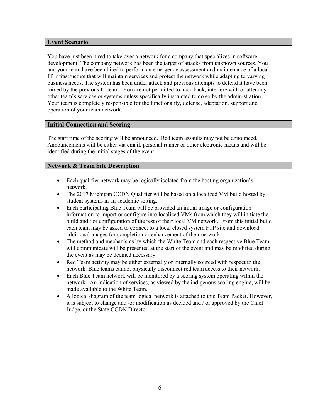#### **Event Scenario**

You have just been hired to take over a network for a company that specializes in software development. The company network has been the target of attacks from unknown sources. You and your team have been hired to perform an emergency assessment and maintenance of a local IT infrastructure that will maintain services and protect the network while adapting to varying business needs. The system has been under attack and previous attempts to defend it have been mixed by the previous IT team. You are not permitted to hack back, interfere with or alter any other team's services or systems unless specifically instructed to do so by the administration. Your team is completely responsible for the functionality, defense, adaptation, support and operation of your team network.

#### **Initial Connection and Scoring**

The start time of the scoring will be announced. Red team assaults may not be announced. Announcements will be either via email, personal runner or other electronic means and will be identified during the initial stages of the event.

#### **Network & Team Site Description**

- Each qualifier network may be logically isolated from the hosting organization's network.
- The 2017 Michigan CCDN Qualifier will be based on a localized VM build hosted by student systems in an academic setting.
- Each participating Blue Team will be provided an initial image or configuration information to import or configure into localized VMs from which they will initiate the build and / or configuration of the rest of their local VM network. From this initial build each team may be asked to connect to a local closed system FTP site and download additional images for completion or enhancement of their network.
- The method and mechanisms by which the White Team and each respective Blue Team will communicate will be presented at the start of the event and may be modified during the event as may be deemed necessary.
- Red Team activity may be either externally or internally sourced with respect to the network. Blue teams cannot physically disconnect red team access to their network.
- Each Blue Team network will be monitored by a scoring system operating within the network. An indication of services, as viewed by the indigenous scoring engine, will be made available to the White Team.
- A logical diagram of the team logical network is attached to this Team Packet. However, it is subject to change and /or modification as decided and / or approved by the Chief Judge, or the State CCDN Director.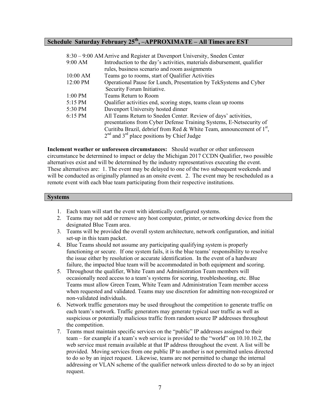#### **Schedule Saturday February 25th, –APPROXIMATE – All Times are EST**

|                    | 8:30 – 9:00 AM Arrive and Register at Davenport University, Sneden Center |
|--------------------|---------------------------------------------------------------------------|
| 9:00 AM            | Introduction to the day's activities, materials disbursement, qualifier   |
|                    | rules, business scenario and room assignments                             |
| $10:00$ AM         | Teams go to rooms, start of Qualifier Activities                          |
| $12:00 \text{ PM}$ | Operational Pause for Lunch, Presentation by TekSystems and Cyber         |
|                    | Security Forum Initiative.                                                |
| $1:00$ PM          | Teams Return to Room                                                      |
| 5:15 PM            | Qualifier activities end, scoring stops, teams clean up rooms             |
| 5:30 PM            | Davenport University hosted dinner                                        |
| 6:15 PM            | All Teams Return to Sneden Center. Review of days' activities,            |
|                    | presentations from Cyber Defense Training Systems, E-Netsecurity of       |
|                    | Curitiba Brazil, debrief from Red & White Team, announcement of $1st$ ,   |
|                    | $2nd$ and $3rd$ place positions by Chief Judge                            |

**Inclement weather or unforeseen circumstances:** Should weather or other unforeseen circumstance be determined to impact or delay the Michigan 2017 CCDN Qualifier, two possible alternatives exist and will be determined by the industry representatives executing the event. These alternatives are: 1. The event may be delayed to one of the two subsequent weekends and will be conducted as originally planned as an onsite event. 2. The event may be rescheduled as a remote event with each blue team participating from their respective institutions.

#### **Systems**

- 1. Each team will start the event with identically configured systems.
- 2. Teams may not add or remove any host computer, printer, or networking device from the designated Blue Team area.
- 3. Teams will be provided the overall system architecture, network configuration, and initial set-up in this team packet.
- 4. Blue Teams should not assume any participating qualifying system is properly functioning or secure. If one system fails, it is the blue teams' responsibility to resolve the issue either by resolution or accurate identification. In the event of a hardware failure, the impacted blue team will be accommodated in both equipment and scoring.
- 5. Throughout the qualifier, White Team and Administration Team members will occasionally need access to a team's systems for scoring, troubleshooting, etc. Blue Teams must allow Green Team, White Team and Administration Team member access when requested and validated. Teams may use discretion for admitting non-recognized or non-validated individuals.
- 6. Network traffic generators may be used throughout the competition to generate traffic on each team's network. Traffic generators may generate typical user traffic as well as suspicious or potentially malicious traffic from random source IP addresses throughout the competition.
- 7. Teams must maintain specific services on the "public" IP addresses assigned to their team – for example if a team's web service is provided to the "world" on 10.10.10.2, the web service must remain available at that IP address throughout the event. A list will be provided. Moving services from one public IP to another is not permitted unless directed to do so by an inject request. Likewise, teams are not permitted to change the internal addressing or VLAN scheme of the qualifier network unless directed to do so by an inject request.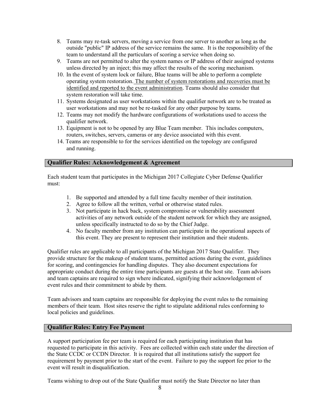- 8. Teams may re-task servers, moving a service from one server to another as long as the outside "public" IP address of the service remains the same. It is the responsibility of the team to understand all the particulars of scoring a service when doing so.
- 9. Teams are not permitted to alter the system names or IP address of their assigned systems unless directed by an inject; this may affect the results of the scoring mechanism.
- 10. In the event of system lock or failure, Blue teams will be able to perform a complete operating system restoration. The number of system restorations and recoveries must be identified and reported to the event administration. Teams should also consider that system restoration will take time.
- 11. Systems designated as user workstations within the qualifier network are to be treated as user workstations and may not be re-tasked for any other purpose by teams.
- 12. Teams may not modify the hardware configurations of workstations used to access the qualifier network.
- 13. Equipment is not to be opened by any Blue Team member. This includes computers, routers, switches, servers, cameras or any device associated with this event.
- 14. Teams are responsible to for the services identified on the topology are configured and running.

#### **Qualifier Rules: Acknowledgement & Agreement**

Each student team that participates in the Michigan 2017 Collegiate Cyber Defense Qualifier must:

- 1. Be supported and attended by a full time faculty member of their institution.
- 2. Agree to follow all the written, verbal or otherwise stated rules.
- 3. Not participate in hack back, system compromise or vulnerability assessment activities of any network outside of the student network for which they are assigned, unless specifically instructed to do so by the Chief Judge.
- 4. No faculty member from any institution can participate in the operational aspects of this event. They are present to represent their institution and their students.

Qualifier rules are applicable to all participants of the Michigan 2017 State Qualifier. They provide structure for the makeup of student teams, permitted actions during the event, guidelines for scoring, and contingencies for handling disputes. They also document expectations for appropriate conduct during the entire time participants are guests at the host site. Team advisors and team captains are required to sign where indicated, signifying their acknowledgement of event rules and their commitment to abide by them.

Team advisors and team captains are responsible for deploying the event rules to the remaining members of their team. Host sites reserve the right to stipulate additional rules conforming to local policies and guidelines.

#### **Qualifier Rules: Entry Fee Payment**

A support participation fee per team is required for each participating institution that has requested to participate in this activity. Fees are collected within each state under the direction of the State CCDC or CCDN Director. It is required that all institutions satisfy the support fee requirement by payment prior to the start of the event. Failure to pay the support fee prior to the event will result in disqualification.

Teams wishing to drop out of the State Qualifier must notify the State Director no later than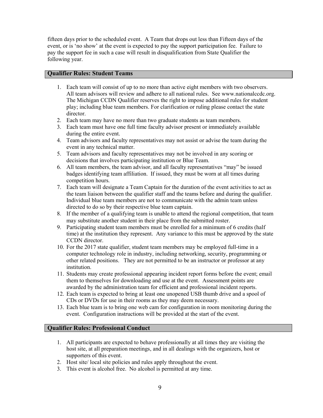fifteen days prior to the scheduled event. A Team that drops out less than Fifteen days of the event, or is 'no show' at the event is expected to pay the support participation fee. Failure to pay the support fee in such a case will result in disqualification from State Qualifier the following year.

#### **Qualifier Rules: Student Teams**

- 1. Each team will consist of up to no more than active eight members with two observers. All team advisors will review and adhere to all national rules. See www.nationalccdc.org. The Michigan CCDN Qualifier reserves the right to impose additional rules for student play; including blue team members. For clarification or ruling please contact the state director.
- 2. Each team may have no more than two graduate students as team members.
- 3. Each team must have one full time faculty advisor present or immediately available during the entire event.
- 4. Team advisors and faculty representatives may not assist or advise the team during the event in any technical matter.
- 5. Team advisors and faculty representatives may not be involved in any scoring or decisions that involves participating institution or Blue Team.
- 6. All team members, the team advisor, and all faculty representatives "may" be issued badges identifying team affiliation. If issued, they must be worn at all times during competition hours.
- 7. Each team will designate a Team Captain for the duration of the event activities to act as the team liaison between the qualifier staff and the teams before and during the qualifier. Individual blue team members are not to communicate with the admin team unless directed to do so by their respective blue team captain.
- 8. If the member of a qualifying team is unable to attend the regional competition, that team may substitute another student in their place from the submitted roster.
- 9. Participating student team members must be enrolled for a minimum of 6 credits (half time) at the institution they represent. Any variance to this must be approved by the state CCDN director.
- 10. For the 2017 state qualifier, student team members may be employed full-time in a computer technology role in industry, including networking, security, programming or other related positions. They are not permitted to be an instructor or professor at any institution.
- 11. Students may create professional appearing incident report forms before the event; email them to themselves for downloading and use at the event. Assessment points are awarded by the administration team for efficient and professional incident reports.
- 12. Each team is expected to bring at least one unopened USB thumb drive and a spool of CDs or DVDs for use in their rooms as they may deem necessary.
- 13. Each blue team is to bring one web cam for configuration in room monitoring during the event. Configuration instructions will be provided at the start of the event.

#### **Qualifier Rules: Professional Conduct**

- 1. All participants are expected to behave professionally at all times they are visiting the host site, at all preparation meetings, and in all dealings with the organizers, host or supporters of this event.
- 2. Host site/ local site policies and rules apply throughout the event.
- 3. This event is alcohol free. No alcohol is permitted at any time.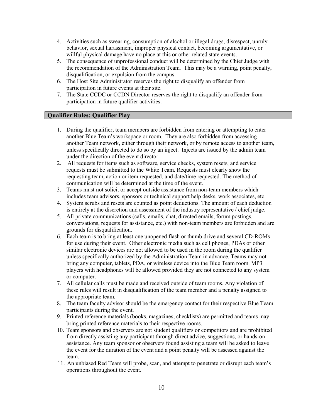- 4. Activities such as swearing, consumption of alcohol or illegal drugs, disrespect, unruly behavior, sexual harassment, improper physical contact, becoming argumentative, or willful physical damage have no place at this or other related state events.
- 5. The consequence of unprofessional conduct will be determined by the Chief Judge with the recommendation of the Administration Team. This may be a warning, point penalty, disqualification, or expulsion from the campus.
- 6. The Host Site Administrator reserves the right to disqualify an offender from participation in future events at their site.
- 7. The State CCDC or CCDN Director reserves the right to disqualify an offender from participation in future qualifier activities.

#### **Qualifier Rules: Qualifier Play**

- 1. During the qualifier, team members are forbidden from entering or attempting to enter another Blue Team's workspace or room. They are also forbidden from accessing another Team network, either through their network, or by remote access to another team, unless specifically directed to do so by an inject. Injects are issued by the admin team under the direction of the event director.
- 2. All requests for items such as software, service checks, system resets, and service requests must be submitted to the White Team. Requests must clearly show the requesting team, action or item requested, and date/time requested. The method of communication will be determined at the time of the event.
- 3. Teams must not solicit or accept outside assistance from non-team members which includes team advisors, sponsors or technical support help desks, work associates, etc.
- 4. System scrubs and resets are counted as point deductions. The amount of each deduction is entirely at the discretion and assessment of the industry representative / chief judge.
- 5. All private communications (calls, emails, chat, directed emails, forum postings, conversations, requests for assistance, etc.) with non-team members are forbidden and are grounds for disqualification.
- 6. Each team is to bring at least one unopened flash or thumb drive and several CD-ROMs for use during their event. Other electronic media such as cell phones, PDAs or other similar electronic devices are not allowed to be used in the room during the qualifier unless specifically authorized by the Administration Team in advance. Teams may not bring any computer, tablets, PDA, or wireless device into the Blue Team room. MP3 players with headphones will be allowed provided they are not connected to any system or computer.
- 7. All cellular calls must be made and received outside of team rooms. Any violation of these rules will result in disqualification of the team member and a penalty assigned to the appropriate team.
- 8. The team faculty advisor should be the emergency contact for their respective Blue Team participants during the event.
- 9. Printed reference materials (books, magazines, checklists) are permitted and teams may bring printed reference materials to their respective rooms.
- 10. Team sponsors and observers are not student qualifiers or competitors and are prohibited from directly assisting any participant through direct advice, suggestions, or hands-on assistance. Any team sponsor or observers found assisting a team will be asked to leave the event for the duration of the event and a point penalty will be assessed against the team.
- 11. An unbiased Red Team will probe, scan, and attempt to penetrate or disrupt each team's operations throughout the event.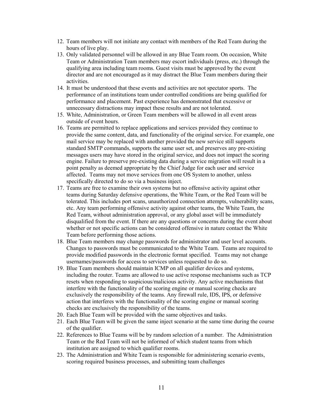- 12. Team members will not initiate any contact with members of the Red Team during the hours of live play.
- 13. Only validated personnel will be allowed in any Blue Team room. On occasion, White Team or Administration Team members may escort individuals (press, etc.) through the qualifying area including team rooms. Guest visits must be approved by the event director and are not encouraged as it may distract the Blue Team members during their activities.
- 14. It must be understood that these events and activities are not spectator sports. The performance of an institutions team under controlled conditions are being qualified for performance and placement. Past experience has demonstrated that excessive or unnecessary distractions may impact these results and are not tolerated.
- 15. White, Administration, or Green Team members will be allowed in all event areas outside of event hours.
- 16. Teams are permitted to replace applications and services provided they continue to provide the same content, data, and functionality of the original service. For example, one mail service may be replaced with another provided the new service still supports standard SMTP commands, supports the same user set, and preserves any pre-existing messages users may have stored in the original service, and does not impact the scoring engine. Failure to preserve pre-existing data during a service migration will result in a point penalty as deemed appropriate by the Chief Judge for each user and service affected. Teams may not move services from one OS System to another, unless specifically directed to do so via a business inject.
- 17. Teams are free to examine their own systems but no offensive activity against other teams during Saturday defensive operations, the White Team, or the Red Team will be tolerated. This includes port scans, unauthorized connection attempts, vulnerability scans, etc. Any team performing offensive activity against other teams, the White Team, the Red Team, without administration approval, or any global asset will be immediately disqualified from the event. If there are any questions or concerns during the event about whether or not specific actions can be considered offensive in nature contact the White Team before performing those actions.
- 18. Blue Team members may change passwords for administrator and user level accounts. Changes to passwords must be communicated to the White Team. Teams are required to provide modified passwords in the electronic format specified. Teams may not change usernames/passwords for access to services unless requested to do so.
- 19. Blue Team members should maintain ICMP on all qualifier devices and systems, including the router. Teams are allowed to use active response mechanisms such as TCP resets when responding to suspicious/malicious activity. Any active mechanisms that interfere with the functionality of the scoring engine or manual scoring checks are exclusively the responsibility of the teams. Any firewall rule, IDS, IPS, or defensive action that interferes with the functionality of the scoring engine or manual scoring checks are exclusively the responsibility of the teams.
- 20. Each Blue Team will be provided with the same objectives and tasks.
- 21. Each Blue Team will be given the same inject scenario at the same time during the course of the qualifier.
- 22. References to Blue Teams will be by random selection of a number. The Administration Team or the Red Team will not be informed of which student teams from which institution are assigned to which qualifier rooms.
- 23. The Administration and White Team is responsible for administering scenario events, scoring required business processes, and submitting team challenges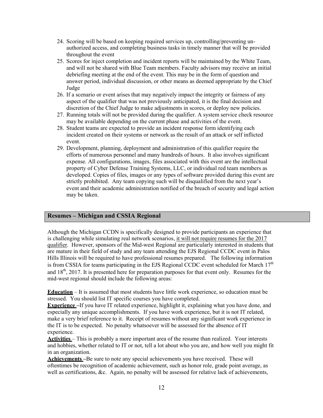- 24. Scoring will be based on keeping required services up, controlling/preventing unauthorized access, and completing business tasks in timely manner that will be provided throughout the event
- 25. Scores for inject completion and incident reports will be maintained by the White Team, and will not be shared with Blue Team members. Faculty advisors may receive an initial debriefing meeting at the end of the event. This may be in the form of question and answer period, individual discussion, or other means as deemed appropriate by the Chief Judge
- 26. If a scenario or event arises that may negatively impact the integrity or fairness of any aspect of the qualifier that was not previously anticipated, it is the final decision and discretion of the Chief Judge to make adjustments in scores, or deploy new policies.
- 27. Running totals will not be provided during the qualifier. A system service check resource may be available depending on the current phase and activities of the event.
- 28. Student teams are expected to provide an incident response form identifying each incident created on their systems or network as the result of an attack or self inflicted event.
- 29. Development, planning, deployment and administration of this qualifier require the efforts of numerous personnel and many hundreds of hours. It also involves significant expense. All configurations, images, files associated with this event are the intellectual property of Cyber Defense Training Systems, LLC, or individual red team members as developed. Copies of files, images or any types of software provided during this event are strictly prohibited. Any team copying such will be disqualified from the next year's event and their academic administration notified of the breach of security and legal action may be taken.

#### **Resumes – Michigan and CSSIA Regional**

Although the Michigan CCDN is specifically designed to provide participants an experience that is challenging while simulating real network scenarios, it will not require resumes for the 2017 qualifier. However, sponsors of the Mid-west Regional are particularly interested in students that are mature in their field of study and any team attending the EJS Regional CCDC event in Palos Hills Illinois will be required to have professional resumes prepared. The following information is from CSSIA for teams participating in the EJS Regional CCDC event scheduled for March  $17<sup>th</sup>$ and  $18<sup>th</sup>$ , 2017. It is presented here for preparation purposes for that event only. Resumes for the mid-west regional should include the following areas:

**Education** – It is assumed that most students have little work experience, so education must be stressed. You should list IT specific courses you have completed.

**Experience** –If you have IT related experience, highlight it, explaining what you have done, and especially any unique accomplishments. If you have work experience, but it is not IT related, make a very brief reference to it. Receipt of resumes without any significant work experience in the IT is to be expected. No penalty whatsoever will be assessed for the absence of IT experience.

**Activities** – This is probably a more important area of the resume than realized. Your interests and hobbies, whether related to IT or not, tell a lot about who you are, and how well you might fit in an organization.

**Achievements –** Be sure to note any special achievements you have received. These will oftentimes be recognition of academic achievement, such as honor role, grade point average, as well as certifications, &c. Again, no penalty will be assessed for relative lack of achievements,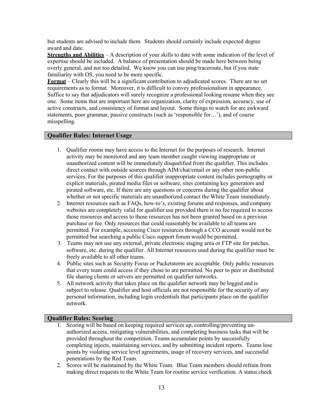but students are advised to include them. Students should certainly include expected degree award and date.

**Strengths and Abilities** – A description of your skills to date with some indication of the level of expertise should be included. A balance of presentation should be made here between being overly general, and not too detailed. We know you can use ping/traceroute, but if you state familiarity with OS, you need to be more specific.

**Format** – Clearly this will be a significant contribution to adjudicated scores. There are no set requirements as to format. Moreover, it is difficult to convey professionalism in appearance. Suffice to say that adjudicators will surely recognize a professional looking resume when they see one. Some items that are important here are organization, clarity of expression, accuracy, use of active constructs, and consistency of format and layout. Some things to watch for are awkward statements, poor grammar, passive constructs (such as 'responsible for…'), and of course misspelling.

#### **Qualifier Rules: Internet Usage**

- 1. Qualifier rooms may have access to the Internet for the purposes of research. Internet activity may be monitored and any team member caught viewing inappropriate or unauthorized content will be immediately disqualified from the qualifier. This includes direct contact with outside sources through AIM/chat/email or any other non-public services. For the purposes of this qualifier inappropriate content includes pornography or explicit materials, pirated media files or software, sites containing key generators and pirated software, etc. If there are any questions or concerns during the qualifier about whether or not specific materials are unauthorized contact the White Team immediately.
- 2. Internet resources such as FAQs, how-to's, existing forums and responses, and company websites are completely valid for qualifier use provided there is no fee required to access those resources and access to those resources has not been granted based on a previous purchase or fee. Only resources that could reasonably be available to all teams are permitted. For example, accessing Cisco resources through a CCO account would not be permitted but searching a public Cisco support forum would be permitted.
- 3. Teams may not use any external, private electronic staging area or FTP site for patches, software, etc. during the qualifier. All Internet resources used during the qualifier must be freely available to all other teams.
- 4. Public sites such as Security Focus or Packetstorm are acceptable. Only public resources that every team could access if they chose to are permitted. No peer to peer or distributed file sharing clients or servers are permitted on qualifier networks.
- 5. All network activity that takes place on the qualifier network may be logged and is subject to release. Qualifier and host officials are not responsible for the security of any personal information, including login credentials that participants place on the qualifier network.

#### **Qualifier Rules: Scoring**

- 1. Scoring will be based on keeping required services up, controlling/preventing unauthorized access, mitigating vulnerabilities, and completing business tasks that will be provided throughout the competition. Teams accumulate points by successfully completing injects, maintaining services, and by submitting incident reports. Teams lose points by violating service level agreements, usage of recovery services, and successful penetrations by the Red Team.
- 2. Scores will be maintained by the White Team. Blue Team members should refrain from making direct requests to the White Team for routine service verification. A status check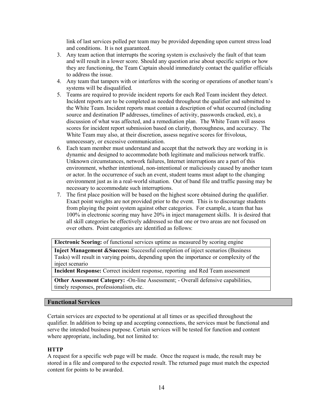link of last services polled per team may be provided depending upon current stress load and conditions. It is not guaranteed.

- 3. Any team action that interrupts the scoring system is exclusively the fault of that team and will result in a lower score. Should any question arise about specific scripts or how they are functioning, the Team Captain should immediately contact the qualifier officials to address the issue.
- 4. Any team that tampers with or interferes with the scoring or operations of another team's systems will be disqualified.
- 5. Teams are required to provide incident reports for each Red Team incident they detect. Incident reports are to be completed as needed throughout the qualifier and submitted to the White Team. Incident reports must contain a description of what occurred (including source and destination IP addresses, timelines of activity, passwords cracked, etc), a discussion of what was affected, and a remediation plan. The White Team will assess scores for incident report submission based on clarity, thoroughness, and accuracy. The White Team may also, at their discretion, assess negative scores for frivolous, unnecessary, or excessive communication.
- 6. Each team member must understand and accept that the network they are working in is dynamic and designed to accommodate both legitimate and malicious network traffic. Unknown circumstances, network failures, Internet interruptions are a part of this environment, whether intentional, non-intentional or maliciously caused by another team or actor. In the occurrence of such an event, student teams must adapt to the changing environment just as in a real-world situation. Out of band file and traffic passing may be necessary to accommodate such interruptions.
- 7. The first place position will be based on the highest score obtained during the qualifier. Exact point weights are not provided prior to the event. This is to discourage students from playing the point system against other categories. For example, a team that has 100% in electronic scoring may have 20% in inject management skills. It is desired that all skill categories be effectively addressed so that one or two areas are not focused on over others. Point categories are identified as follows:

**Electronic Scoring:** of functional services uptime as measured by scoring engine

**Inject Management &Success:** Successful completion of inject scenarios (Business Tasks) will result in varying points, depending upon the importance or complexity of the inject scenario

**Incident Response:** Correct incident response, reporting and Red Team assessment

**Other Assessment Category:** -On-line Assessment; - Overall defensive capabilities, timely responses, professionalism, etc.

#### **Functional Services**

Certain services are expected to be operational at all times or as specified throughout the qualifier. In addition to being up and accepting connections, the services must be functional and serve the intended business purpose. Certain services will be tested for function and content where appropriate, including, but not limited to:

#### **HTTP**

A request for a specific web page will be made. Once the request is made, the result may be stored in a file and compared to the expected result. The returned page must match the expected content for points to be awarded.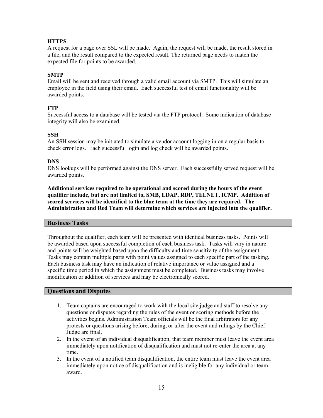#### **HTTPS**

A request for a page over SSL will be made. Again, the request will be made, the result stored in a file, and the result compared to the expected result. The returned page needs to match the expected file for points to be awarded.

#### **SMTP**

Email will be sent and received through a valid email account via SMTP. This will simulate an employee in the field using their email. Each successful test of email functionality will be awarded points.

#### **FTP**

Successful access to a database will be tested via the FTP protocol. Some indication of database integrity will also be examined.

#### **SSH**

An SSH session may be initiated to simulate a vendor account logging in on a regular basis to check error logs. Each successful login and log check will be awarded points.

#### **DNS**

DNS lookups will be performed against the DNS server. Each successfully served request will be awarded points.

**Additional services required to be operational and scored during the hours of the event qualifier include, but are not limited to, SMB, LDAP, RDP, TELNET, ICMP. Addition of scored services will be identified to the blue team at the time they are required. The Administration and Red Team will determine which services are injected into the qualifier.**

#### **Business Tasks**

Throughout the qualifier, each team will be presented with identical business tasks. Points will be awarded based upon successful completion of each business task. Tasks will vary in nature and points will be weighted based upon the difficulty and time sensitivity of the assignment. Tasks may contain multiple parts with point values assigned to each specific part of the tasking. Each business task may have an indication of relative importance or value assigned and a specific time period in which the assignment must be completed. Business tasks may involve modification or addition of services and may be electronically scored.

#### **Questions and Disputes**

- 1. Team captains are encouraged to work with the local site judge and staff to resolve any questions or disputes regarding the rules of the event or scoring methods before the activities begins. Administration Team officials will be the final arbitrators for any protests or questions arising before, during, or after the event and rulings by the Chief Judge are final.
- 2. In the event of an individual disqualification, that team member must leave the event area immediately upon notification of disqualification and must not re-enter the area at any time.
- 3. In the event of a notified team disqualification, the entire team must leave the event area immediately upon notice of disqualification and is ineligible for any individual or team award.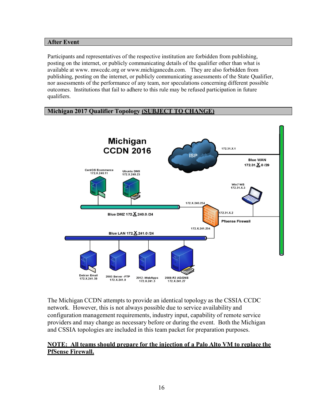#### **After Event**

Participants and representatives of the respective institution are forbidden from publishing, posting on the internet, or publicly communicating details of the qualifier other than what is available at www. mwccdc.org or www.michiganccdn.com. They are also forbidden from publishing, posting on the internet, or publicly communicating assessments of the State Qualifier, nor assessments of the performance of any team, nor speculations concerning different possible outcomes. Institutions that fail to adhere to this rule may be refused participation in future qualifiers.

#### **Michigan 2017 Qualifier Topology (SUBJECT TO CHANGE)**



The Michigan CCDN attempts to provide an identical topology as the CSSIA CCDC network. However, this is not always possible due to service availability and configuration management requirements, industry input, capability of remote service providers and may change as necessary before or during the event. Both the Michigan and CSSIA topologies are included in this team packet for preparation purposes.

#### **NOTE: All teams should prepare for the injection of a Palo Alto VM to replace the PfSense Firewall.**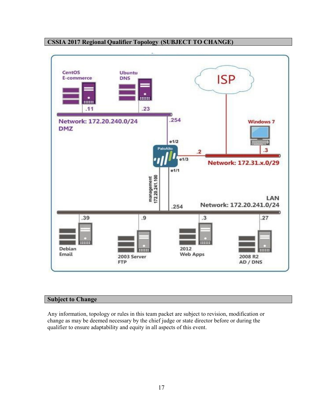

#### **CSSIA 2017 Regional Qualifier Topology (SUBJECT TO CHANGE)**

#### **Subject to Change**

Any information, topology or rules in this team packet are subject to revision, modification or change as may be deemed necessary by the chief judge or state director before or during the qualifier to ensure adaptability and equity in all aspects of this event.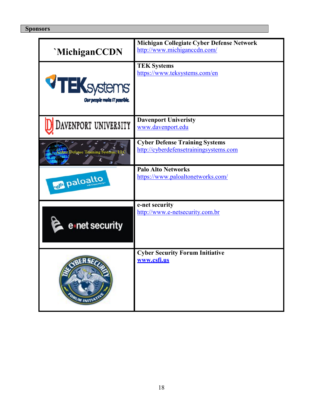#### **Sponsors**

| 'MichiganCCDN                                      | Michigan Collegiate Cyber Defense Network<br>http://www.michigancedn.com/       |
|----------------------------------------------------|---------------------------------------------------------------------------------|
| <b>TEK</b> systems<br>Our people make IT possible. | <b>TEK Systems</b><br>https://www.teksystems.com/en                             |
| DAVENPORT UNIVERSITY                               | <b>Davenport Univeristy</b><br>www.davenport.edu                                |
| r Defense Training Systems, LLC                    | <b>Cyber Defense Training Systems</b><br>http://cyberdefensetrainingsystems.com |
| ull paloalto                                       | <b>Palo Alto Networks</b><br>https://www.paloaltonetworks.com/                  |
| e net security                                     | e-net security<br>http://www.e-netsecurity.com.br                               |
|                                                    | <b>Cyber Security Forum Initiative</b><br>www.csfi.us                           |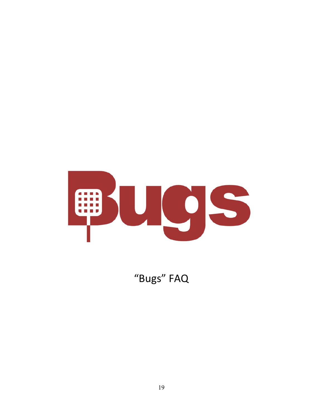

"Bugs" FAQ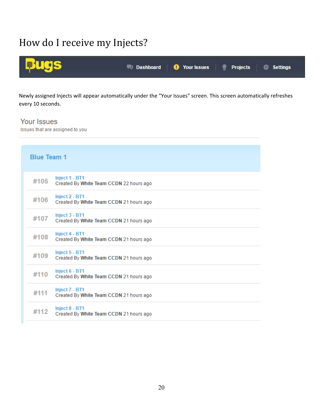### How do I receive my Injects?



Newly assigned Injects will appear automatically under the "Your Issues" screen. This screen automatically refreshes every 10 seconds.

**Your Issues** 

Issues that are assigned to you

| <b>Blue Team 1</b> |                                                           |
|--------------------|-----------------------------------------------------------|
| #105               | Inject 1 - BT1<br>Created By White Team CCDN 22 hours ago |
| #106               | Inject 2 - BT1<br>Created By White Team CCDN 21 hours ago |
| #107               | Inject 3 - BT1<br>Created By White Team CCDN 21 hours ago |
| #108               | Inject 4 - BT1<br>Created By White Team CCDN 21 hours ago |
| #109               | Inject 5 - BT1<br>Created By White Team CCDN 21 hours ago |
| #110               | Inject 6 - BT1<br>Created By White Team CCDN 21 hours ago |
| #111               | Inject 7 - BT1<br>Created By White Team CCDN 21 hours ago |
| #112               | Inject 8 - BT1<br>Created By White Team CCDN 21 hours ago |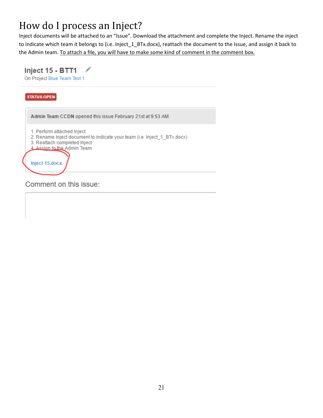## How do I process an Inject?

Inject documents will be attached to an "Issue". Download the attachment and complete the Inject. Rename the inject to indicate which team it belongs to (i.e. Inject\_1\_BTx.docx), reattach the document to the Issue, and assign it back to the Admin team. To attach a file, you will have to make some kind of comment in the comment box.

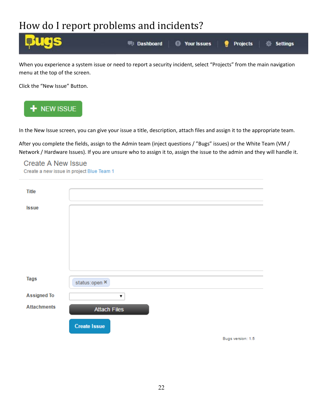### How do I report problems and incidents?



When you experience a system issue or need to report a security incident, select "Projects" from the main navigation menu at the top of the screen.

Click the "New Issue" Button.



In the New Issue screen, you can give your issue a title, description, attach files and assign it to the appropriate team.

After you complete the fields, assign to the Admin team (inject questions / "Bugs" issues) or the White Team (VM / Network / Hardware Issues). If you are unsure who to assign it to, assign the issue to the admin and they will handle it.

### **Create A New Issue**

Create a new issue in project Blue Team 1

| <b>Title</b>       |                     |
|--------------------|---------------------|
| <b>Issue</b>       |                     |
|                    |                     |
|                    |                     |
|                    |                     |
|                    |                     |
| <b>Tags</b>        | status:open ×       |
| <b>Assigned To</b> | 7                   |
| <b>Attachments</b> | <b>Attach Files</b> |
|                    | <b>Create Issue</b> |
|                    | Bugs version: 1.5   |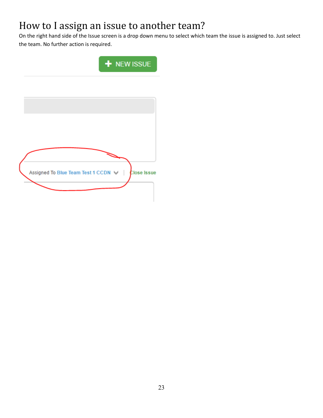### How to I assign an issue to another team?

On the right hand side of the Issue screen is a drop down menu to select which team the issue is assigned to. Just select the team. No further action is required.

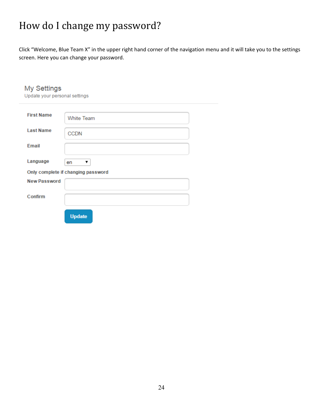## How do I change my password?

Click "Welcome, Blue Team X" in the upper right hand corner of the navigation menu and it will take you to the settings screen. Here you can change your password.

| <b>My Settings</b><br>Update your personal settings |                                               |  |  |  |
|-----------------------------------------------------|-----------------------------------------------|--|--|--|
| <b>First Name</b>                                   | <b>White Team</b>                             |  |  |  |
| <b>Last Name</b>                                    |                                               |  |  |  |
| Email                                               | <b>CCDN</b>                                   |  |  |  |
|                                                     |                                               |  |  |  |
| Language                                            | ▼<br>en<br>Only complete if changing password |  |  |  |
| <b>New Password</b>                                 |                                               |  |  |  |
| Confirm                                             |                                               |  |  |  |
|                                                     |                                               |  |  |  |
|                                                     | <b>Update</b>                                 |  |  |  |